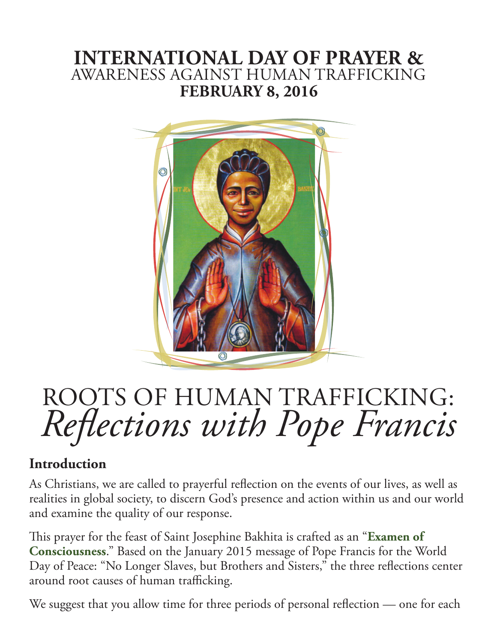# **INTERNATIONAL DAY OF PRAYER &**  AWARENESS AGAINST HUMAN TRAFFICKING **FEBRUARY 8, 2016**



# ROOTS OF HUMAN TRAFFICKING: *Reflections with Pope Francis*

## **Introduction**

As Christians, we are called to prayerful reflection on the events of our lives, as well as realities in global society, to discern God's presence and action within us and our world and examine the quality of our response.

This prayer for the feast of Saint Josephine Bakhita is crafted as an "**[Examen of](http://www.ignatianspirituality.com/ignatian-prayer/the-examen/consciousness-examen)  [Consciousness](http://www.ignatianspirituality.com/ignatian-prayer/the-examen/consciousness-examen)**." Based on the January 2015 message of Pope Francis for the World Day of Peace: "No Longer Slaves, but Brothers and Sisters," the three reflections center around root causes of human trafficking.

We suggest that you allow time for three periods of personal reflection — one for each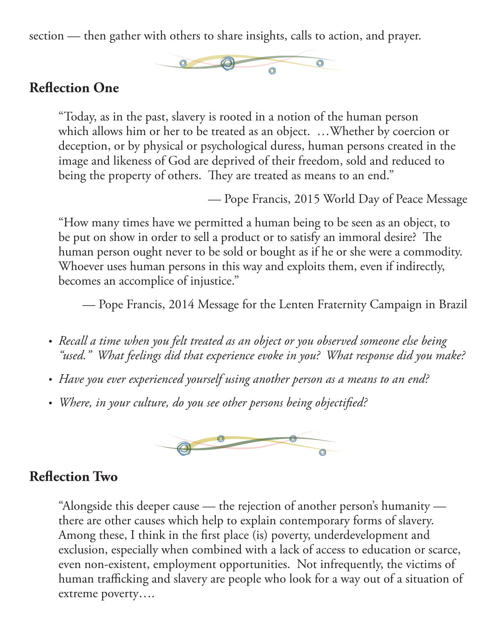section — then gather with others to share insights, calls to action, and prayer.



#### **Reflection One**

"Today, as in the past, slavery is rooted in a notion of the human person which allows him or her to be treated as an object. …Whether by coercion or deception, or by physical or psychological duress, human persons created in the image and likeness of God are deprived of their freedom, sold and reduced to being the property of others. They are treated as means to an end."

— Pope Francis, 2015 World Day of Peace Message

"How many times have we permitted a human being to be seen as an object, to be put on show in order to sell a product or to satisfy an immoral desire? The human person ought never to be sold or bought as if he or she were a commodity. Whoever uses human persons in this way and exploits them, even if indirectly, becomes an accomplice of injustice."

— Pope Francis, 2014 Message for the Lenten Fraternity Campaign in Brazil

- Recall a time when you felt treated as an object or you observed someone else being *"used." What feelings did that experience evoke in you? What response did you make?*
- Have you ever experienced yourself using another person as a means to an end?
- • *Where, in your culture, do you see other persons being objectified?*



#### **Reflection Two**

"Alongside this deeper cause — the rejection of another person's humanity there are other causes which help to explain contemporary forms of slavery. Among these, I think in the first place (is) poverty, underdevelopment and exclusion, especially when combined with a lack of access to education or scarce, even non-existent, employment opportunities. Not infrequently, the victims of human trafficking and slavery are people who look for a way out of a situation of extreme poverty….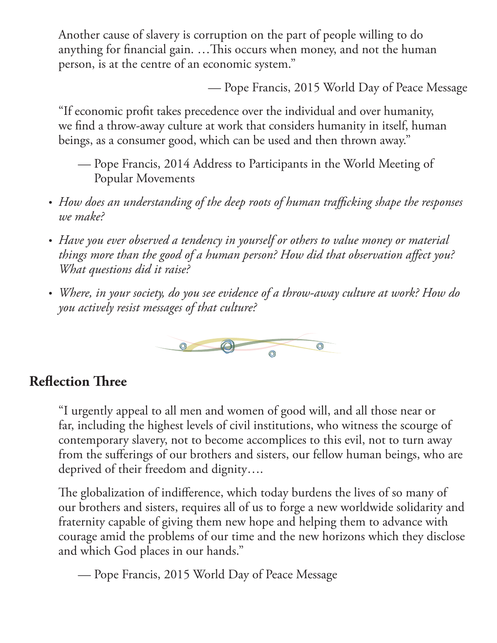Another cause of slavery is corruption on the part of people willing to do anything for financial gain. …This occurs when money, and not the human person, is at the centre of an economic system."

— Pope Francis, 2015 World Day of Peace Message

"If economic profit takes precedence over the individual and over humanity, we find a throw-away culture at work that considers humanity in itself, human beings, as a consumer good, which can be used and then thrown away."

- Pope Francis, 2014 Address to Participants in the World Meeting of Popular Movements
- How does an understanding of the deep roots of human trafficking shape the responses *we make?*
- Have you ever observed a tendency in yourself or others to value money or material *things more than the good of a human person? How did that observation affect you? What questions did it raise?*
- • *Where, in your society, do you see evidence of a throw-away culture at work? How do you actively resist messages of that culture?*



## **Reflection Three**

"I urgently appeal to all men and women of good will, and all those near or far, including the highest levels of civil institutions, who witness the scourge of contemporary slavery, not to become accomplices to this evil, not to turn away from the sufferings of our brothers and sisters, our fellow human beings, who are deprived of their freedom and dignity….

The globalization of indifference, which today burdens the lives of so many of our brothers and sisters, requires all of us to forge a new worldwide solidarity and fraternity capable of giving them new hope and helping them to advance with courage amid the problems of our time and the new horizons which they disclose and which God places in our hands."

— Pope Francis, 2015 World Day of Peace Message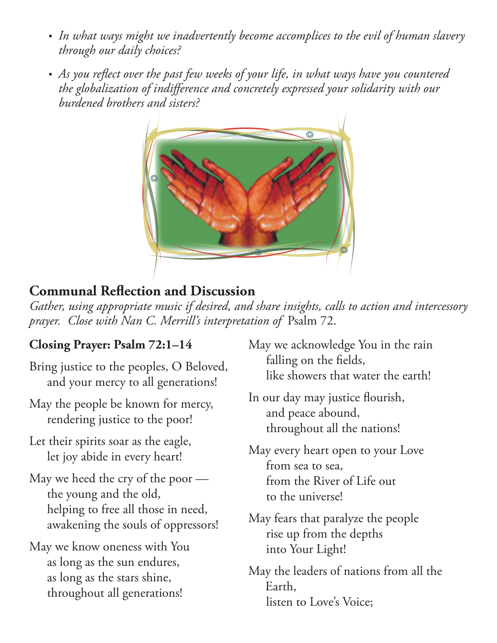- In what ways might we inadvertently become accomplices to the evil of human slavery *through our daily choices?*
- As you reflect over the past few weeks of your life, in what ways have you countered *the globalization of indifference and concretely expressed your solidarity with our burdened brothers and sisters?*



# **Communal Reflection and Discussion**

*Gather, using appropriate music if desired, and share insights, calls to action and intercessory prayer. Close with Nan C. Merrill's interpretation of* Psalm 72.

## **Closing Prayer: Psalm 72:1–14**

- Bring justice to the peoples, O Beloved, and your mercy to all generations!
- May the people be known for mercy, rendering justice to the poor!
- Let their spirits soar as the eagle, let joy abide in every heart!
- May we heed the cry of the poor the young and the old, helping to free all those in need, awakening the souls of oppressors!
- May we know oneness with You as long as the sun endures, as long as the stars shine, throughout all generations!
- May we acknowledge You in the rain falling on the fields, like showers that water the earth!
- In our day may justice flourish, and peace abound, throughout all the nations!
- May every heart open to your Love from sea to sea, from the River of Life out to the universe!
- May fears that paralyze the people rise up from the depths into Your Light!
- May the leaders of nations from all the Earth, listen to Love's Voice;